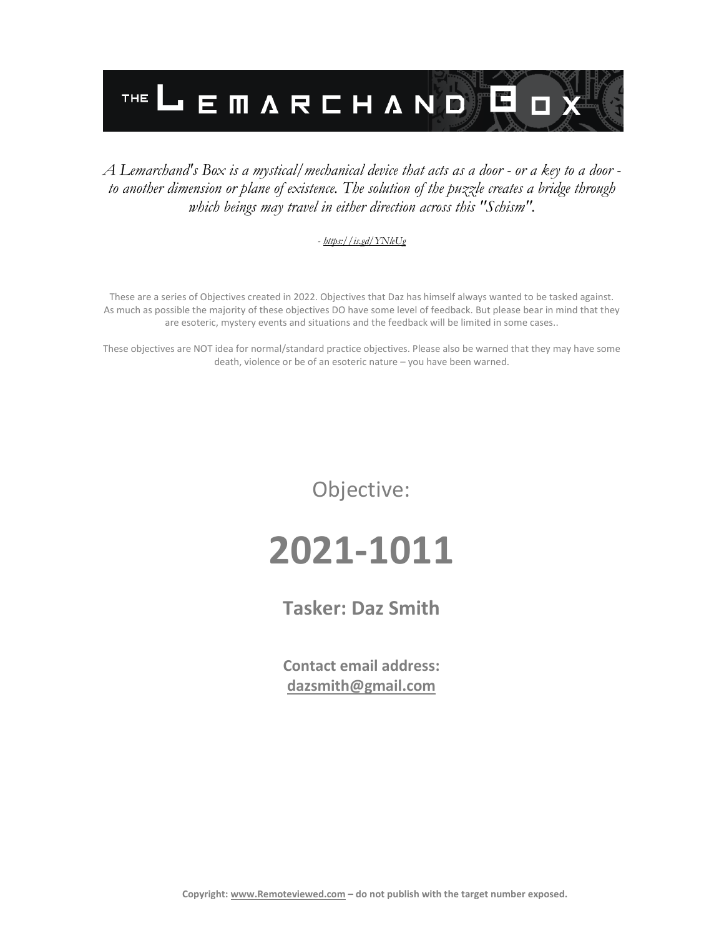

#### *A Lemarchand's Box is a mystical/mechanical device that acts as a door - or a key to a door to another dimension or plane of existence. The solution of the puzzle creates a bridge through which beings may travel in either direction across this "Schism".*

#### *- <https://is.gd/YNleUg>*

These are a series of Objectives created in 2022. Objectives that Daz has himself always wanted to be tasked against. As much as possible the majority of these objectives DO have some level of feedback. But please bear in mind that they are esoteric, mystery events and situations and the feedback will be limited in some cases..

These objectives are NOT idea for normal/standard practice objectives. Please also be warned that they may have some death, violence or be of an esoteric nature – you have been warned.

Objective:

## **2021-1011**

**Tasker: Daz Smith**

**Contact email address: [dazsmith@gmail.com](mailto:dazsmith@gmail.com)**